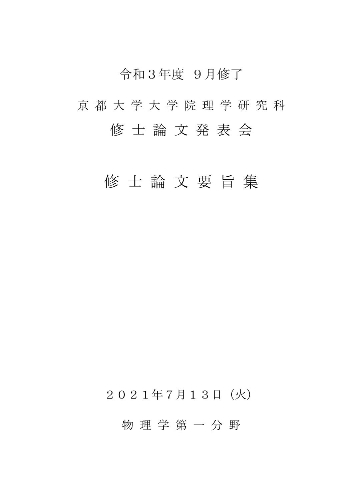# 令和3年度 9月修了

# 京 都 大 学 大 学 院 理 学 研 究 科 修 士 論 文 発 表 会

# 修 士 論 文 要 旨 集

## 2021年7月13日(火)

### 物 理 学 第 一 分 野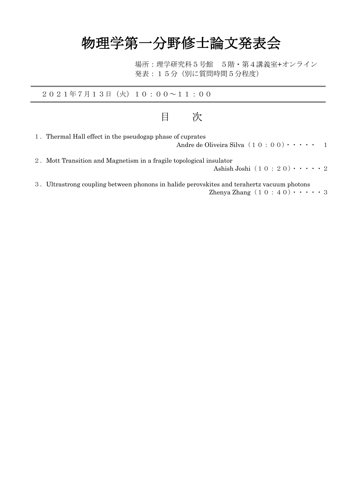# 物理学第一分野修士論文発表会

場所:理学研究科5号館 5階・第4講義室+オンライン 発表:15分(別に質問時間5分程度)

2021年7月13日(火)10:00~11:00

### 目 次

| 1. Thermal Hall effect in the pseudogap phase of cuprates<br>Andre de Oliveira Silva $(1 0 : 0 0) \cdot \cdot \cdot \cdot$<br>$\blacksquare$ |
|----------------------------------------------------------------------------------------------------------------------------------------------|
| 2. Mott Transition and Magnetism in a fragile topological insulator<br>Ashish Joshi $(1 0 : 2 0) \cdot \cdot \cdot \cdot 2$                  |

3.Ultrastrong coupling between phonons in halide perovskites and terahertz vacuum photons Zhenya Zhang $(10:40)\cdot\cdot\cdot\cdot$  3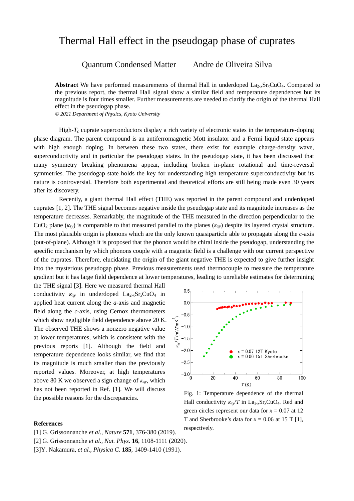#### Thermal Hall effect in the pseudogap phase of cuprates

Quantum Condensed Matter Andre de Oliveira Silva

**Abstract** We have performed measurements of thermal Hall in underdoped  $\text{L}_{2x}$ ,  $\text{Sr}_x\text{CuO}_4$ . Compared to the previous report, the thermal Hall signal show a similar field and temperature dependences but its magnitude is four times smaller. Further measurements are needed to clarify the origin of the thermal Hall effect in the pseudogap phase.

*© 2021 Department of Physics, Kyoto University*

High-*T<sup>c</sup>* cuprate superconductors display a rich variety of electronic states in the temperature-doping phase diagram. The parent compound is an antiferromagnetic Mott insulator and a Fermi liquid state appears with high enough doping. In between these two states, there exist for example charge-density wave, superconductivity and in particular the pseudogap states. In the pseudogap state, it has been discussed that many symmetry breaking phenomena appear, including broken in-plane rotational and time-reversal symmetries. The pseudogap state holds the key for understanding high temperature superconductivity but its nature is controversial. Therefore both experimental and theoretical efforts are still being made even 30 years after its discovery.

Recently, a giant thermal Hall effect (THE) was reported in the parent compound and underdoped cuprates [1, 2]. The THE signal becomes negative inside the pseudogap state and its magnitude increases as the temperature decreases. Remarkably, the magnitude of the THE measured in the direction perpendicular to the CuO<sub>2</sub> plane ( $\kappa_{zy}$ ) is comparable to that measured parallel to the planes ( $\kappa_{xy}$ ) despite its layered crystal structure. The most plausible origin is phonons which are the only known quasiparticle able to propagate along the *c*-axis (out-of-plane). Although it is proposed that the phonon would be chiral inside the pseudogap, understanding the specific mechanism by which phonons couple with a magnetic field is a challenge with our current perspective of the cuprates. Therefore, elucidating the origin of the giant negative THE is expected to give further insight into the mysterious pseudogap phase. Previous measurements used thermocouple to measure the temperature gradient but it has large field dependence at lower temperatures, leading to unreliable estimates for determining

the THE signal [3]. Here we measured thermal Hall conductivity  $\kappa_{xy}$  in underdoped La<sub>2-*x*</sub>Sr<sub>*x*</sub>CuO<sub>4</sub> in applied heat current along the *a*-axis and magnetic field along the *c*-axis, using Cernox thermometers which show negligible field dependence above 20 K. The observed THE shows a nonzero negative value at lower temperatures, which is consistent with the previous reports [1]. Although the field and temperature dependence looks similar, we find that its magnitude is much smaller than the previously reported values. Moreover, at high temperatures above 80 K we observed a sign change of *κxy*, which has not been reported in Ref. [1]. We will discuss the possible reasons for the discrepancies.

#### **References**

- [1] G. [Grissonnanche](https://arxiv.org/search/cond-mat?searchtype=author&query=Stavinoha%2C+M) *et al*.*, Nature* **571**, 376-380 (2019).
- [2] G. [Grissonnanche](https://arxiv.org/search/cond-mat?searchtype=author&query=Stavinoha%2C+M) *et al*.*, Nat. Phys*. **16**, 1108-1111 (2020).
- [3]Y. Nakamura, *et al., Physica C.* **185**, 1409-1410 (1991).



Fig. 1: Temperature dependence of the thermal Hall conductivity  $\kappa_{xy}/T$  in La<sub>2-*x*</sub>Sr<sub>*x*</sub>CuO<sub>4</sub>. Red and green circles represent our data for  $x = 0.07$  at 12 T and Sherbrooke's data for  $x = 0.06$  at 15 T [1], respectively.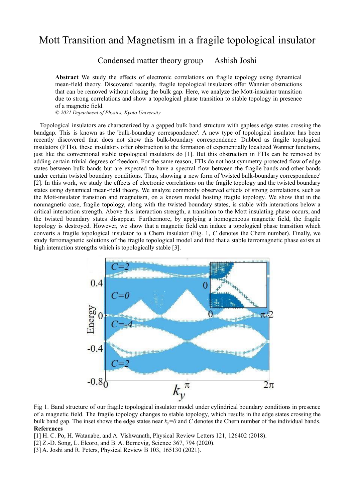#### Mott Transition and Magnetism in a fragile topological insulator

Condensed matter theory group Ashish Joshi

**Abstract** We study the effects of electronic correlations on fragile topology using dynamical mean-field theory. Discovered recently, fragile topological insulators offer Wannier obstructions that can be removed without closing the bulk gap. Here, we analyze the Mott-insulator transition due to strong correlations and show a topological phase transition to stable topology in presence of a magnetic field.

*© 2021 Department of Physics, Kyoto University*

Topological insulators are characterized by a gapped bulk band structure with gapless edge states crossing the bandgap. This is known as the 'bulk-boundary correspondence'. A new type of topological insulator has been recently discovered that does not show this bulk-boundary correspondence. Dubbed as fragile topological insulators (FTIs), these insulators offer obstruction to the formation of exponentially localized Wannier functions, just like the conventional stable topological insulators do [1]. But this obstruction in FTIs can be removed by adding certain trivial degrees of freedom. For the same reason, FTIs do not host symmetry-protected flow of edge states between bulk bands but are expected to have a spectral flow between the fragile bands and other bands under certain twisted boundary conditions. Thus, showing a new form of 'twisted bulk-boundary correspondence' [2]. In this work, we study the effects of electronic correlations on the fragile topology and the twisted boundary states using dynamical mean-field theory. We analyze commonly observed effects of strong correlations, such as the Mott-insulator transition and magnetism, on a known model hosting fragile topology. We show that in the nonmagnetic case, fragile topology, along with the twisted boundary states, is stable with interactions below a critical interaction strength. Above this interaction strength, a transition to the Mott insulating phase occurs, and the twisted boundary states disappear. Furthermore, by applying a homogeneous magnetic field, the fragile topology is destroyed. However, we show that a magnetic field can induce a topological phase transition which converts a fragile topological insulator to a Chern insulator (Fig. 1, *C* denotes the Chern number). Finally, we study ferromagnetic solutions of the fragile topological model and find that a stable ferromagnetic phase exists at high interaction strengths which is topologically stable [3].



Fig 1. Band structure of our fragile topological insulator model under cylindrical boundary conditions in presence of a magnetic field. The fragile topology changes to stable topology, which results in the edge states crossing the bulk band gap. The inset shows the edge states near *ky=0* and *C* denotes the Chern number of the individual bands. **References**

[1] H. C. Po, H. Watanabe, and A. Vishwanath, Physical Review Letters 121, 126402 (2018).

- [2] Z.-D. Song, L. Elcoro, and B. A. Bernevig, Science 367, 794 (2020).
- [3] A. Joshi and R. Peters, Physical Review B 103, 165130 (2021).